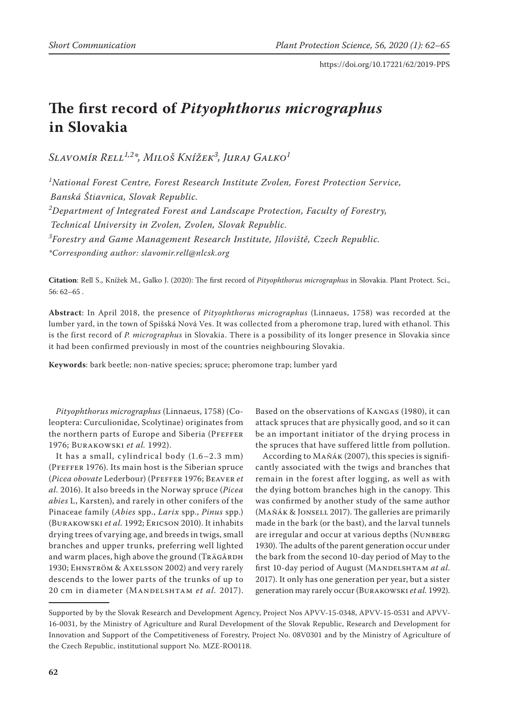# **The first record of** *Pityophthorus micrographus* **in Slovakia**

*Slavomír Rell1,2\*, Miloš Knížek3 , Juraj Galko<sup>1</sup>*

*1 National Forest Centre, Forest Research Institute Zvolen, Forest Protection Service, Banská Štiavnica, Slovak Republic.*

*2 Department of Integrated Forest and Landscape Protection, Faculty of Forestry,* 

*Technical University in Zvolen, Zvolen, Slovak Republic.*

*3 Forestry and Game Management Research Institute, Jíloviště, Czech Republic.*

*\*Corresponding author: slavomir.rell@nlcsk.org*

**Citation**: Rell S., Knížek M., Galko J. (2020): The first record of *Pityophthorus micrographus* in Slovakia. Plant Protect. Sci., 56: 62–65 .

**Abstract**: In April 2018, the presence of *Pityophthorus micrographus* (Linnaeus, 1758) was recorded at the lumber yard, in the town of Spišská Nová Ves. It was collected from a pheromone trap, lured with ethanol. This is the first record of *P. micrographus* in Slovakia. There is a possibility of its longer presence in Slovakia since it had been confirmed previously in most of the countries neighbouring Slovakia.

**Keywords**: bark beetle; non-native species; spruce; pheromone trap; lumber yard

*Pityophthorus micrographus* (Linnaeus, 1758) (Coleoptera: Curculionidae, Scolytinae) originates from the northern parts of Europe and Siberia (PFEFFER 1976; Burakowski *et al.* 1992).

It has a small, cylindrical body (1.6–2.3 mm) (Pfeffer 1976). Its main host is the Siberian spruce (*Picea obovate* Lederbour) (Pfeffer 1976; Beaver *et al.* 2016). It also breeds in the Norway spruce (*Picea abies* L, Karsten), and rarely in other conifers of the Pinaceae family (*Abies* spp., *Larix* spp., *Pinus* spp.) (Burakowski *et al.* 1992; Ericson 2010). It inhabits drying trees of varying age, and breeds in twigs, small branches and upper trunks, preferring well lighted and warm places, high above the ground (TRÄGÅRDH 1930; Ehnström & Axelsson 2002) and very rarely descends to the lower parts of the trunks of up to 20 cm in diameter (Mandelshtam *et al.* 2017).

Based on the observations of Kangas (1980), it can attack spruces that are physically good, and so it can be an important initiator of the drying process in the spruces that have suffered little from pollution.

According to Maňák (2007), this species is significantly associated with the twigs and branches that remain in the forest after logging, as well as with the dying bottom branches high in the canopy. This was confirmed by another study of the same author (Maňák & Jonsell 2017). The galleries are primarily made in the bark (or the bast), and the larval tunnels are irregular and occur at various depths (Nunberg 1930). The adults of the parent generation occur under the bark from the second 10-day period of May to the first 10-day period of August (MANDELSHTAM *at al.*) 2017). It only has one generation per year, but a sister generation may rarely occur (Burakowski *et al.* 1992).

Supported by by the Slovak Research and Development Agency, Project Nos APVV-15-0348, APVV-15-0531 and APVV-16-0031, by the Ministry of Agriculture and Rural Development of the Slovak Republic, Research and Development for Innovation and Support of the Competitiveness of Forestry, Project No. 08V0301 and by the Ministry of Agriculture of the Czech Republic, institutional support No. MZE-RO0118.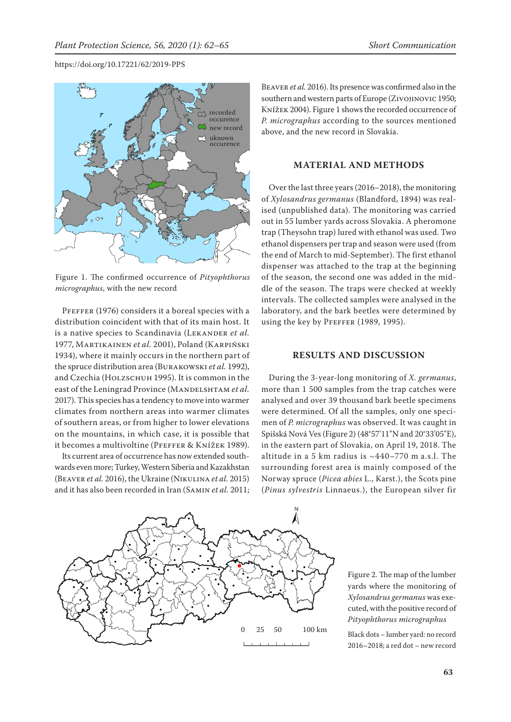#### https://doi.org/10.17221/62/2019-PPS



Figure 1. The confirmed occurrence of *Pityophthorus micrographus*, with the new record

PFEFFER (1976) considers it a boreal species with a distribution coincident with that of its main host. It is a native species to Scandinavia (LEKANDER et al. 1977, Martikainen *et al.* 2001), Poland (Karpiński 1934), where it mainly occurs in the northern part of the spruce distribution area (Burakowski *et al.* 1992), and Czechia (HOLZSCHUH 1995). It is common in the east of the Leningrad Province (MANDELSHTAM et al. 2017). This species has a tendency to move into warmer climates from northern areas into warmer climates of southern areas, or from higher to lower elevations on the mountains, in which case, it is possible that it becomes a multivoltine (Pfeffer & Knížek 1989).

Its current area of occurrence has now extended southwards even more; Turkey, Western Siberia and Kazakhstan (Beaver *et al.* 2016), the Ukraine (Nikulina *et al.* 2015) and it has also been recorded in Iran (Samin *et al.* 2011;

Beaver *et al.* 2016). Its presence was confirmed also in the southern and western parts of Europe (Zivojinovic 1950; Knížek 2004). Figure 1 shows the recorded occurrence of *P. micrographus* according to the sources mentioned above, and the new record in Slovakia.

## **MATERIAL AND METHODS**

Over the last three years (2016–2018), the monitoring of *Xylosandrus germanus* (Blandford, 1894) was realised (unpublished data). The monitoring was carried out in 55 lumber yards across Slovakia. A pheromone trap (Theysohn trap) lured with ethanol was used. Two ethanol dispensers per trap and season were used (from the end of March to mid-September). The first ethanol dispenser was attached to the trap at the beginning of the season, the second one was added in the middle of the season. The traps were checked at weekly intervals. The collected samples were analysed in the laboratory, and the bark beetles were determined by using the key by PFEFFER (1989, 1995).

### **RESULTS AND DISCUSSION**

During the 3-year-long monitoring of *X. germanus*, more than 1 500 samples from the trap catches were analysed and over 39 thousand bark beetle specimens were determined. Of all the samples, only one specimen of *P. micrographus* was observed. It was caught in Spišská Nová Ves (Figure 2) (48°57'11"N and 20°33'05"E), in the eastern part of Slovakia, on April 19, 2018. The altitude in a 5 km radius is  $~140-770$  m a.s.l. The surrounding forest area is mainly composed of the Norway spruce (*Picea abies* L., Karst.), the Scots pine (*Pinus sylvestris* Linnaeus.), the European silver fir



Figure 2. The map of the lumber yards where the monitoring of *Xylosandrus germanus* was executed, with the positive record of *Pityophthorus micrographus*

2016–2018; a red dot – new record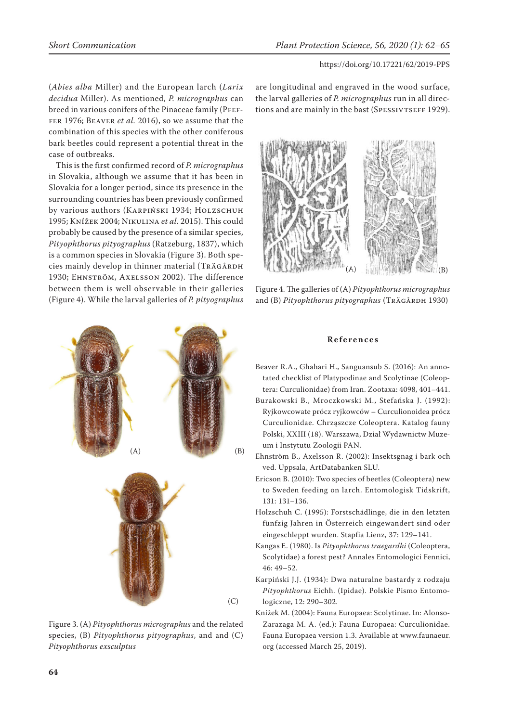(*Abies alba* Miller) and the European larch (*Larix decidua* Miller). As mentioned, *P. micrographus* can breed in various conifers of the Pinaceae family (PFEFfer 1976; Beaver *et al.* 2016), so we assume that the combination of this species with the other coniferous bark beetles could represent a potential threat in the case of outbreaks.

This is the first confirmed record of *P. micrographus* in Slovakia, although we assume that it has been in Slovakia for a longer period, since its presence in the surrounding countries has been previously confirmed by various authors (KARPIŃSKI 1934; HOLZSCHUH 1995; Knížek 2004; Nikulina *et al.* 2015). This could probably be caused by the presence of a similar species, *Pityophthorus pityographus* (Ratzeburg, 1837), which is a common species in Slovakia (Figure 3). Both species mainly develop in thinner material (TRÄGÅRDH 1930; Ehnström, Axelsson 2002). The difference between them is well observable in their galleries (Figure 4). While the larval galleries of *P. pityographus*



Figure 3. (A) *Pityophthorus micrographus* and the related species, (B) *Pityophthorus pityographus*, and and (C) *Pityophthorus exsculptus*

are longitudinal and engraved in the wood surface, the larval galleries of *P. micrographus* run in all directions and are mainly in the bast (SPESSIVTSEFF 1929).



Figure 4. The galleries of (A) *Pityophthorus micrographus*  and (B) *Pityophthorus pityographus* (TRÄGÅRDH 1930)

## **R e f e r e n c e s**

- Beaver R.A., Ghahari H., Sanguansub S. (2016): An annotated checklist of Platypodinae and Scolytinae (Coleoptera: Curculionidae) from Iran. Zootaxa: 4098, 401–441.
- Burakowski B., Mroczkowski M., Stefańska J. (1992): Ryjkowcowate prócz ryjkowców – Curculionoidea prócz Curculionidae. Chrząszcze Coleoptera. Katalog fauny Polski, XXIII (18). Warszawa, Dział Wydawnictw Muzeum i Instytutu Zoologii PAN.
- Ehnström B., Axelsson R. (2002): Insektsgnag i bark och ved. Uppsala, ArtDatabanken SLU.
- Ericson B. (2010): Two species of beetles (Coleoptera) new to Sweden feeding on larch. Entomologisk Tidskrift, 131: 131–136.
- Holzschuh C. (1995): Forstschädlinge, die in den letzten fünfzig Jahren in Österreich eingewandert sind oder eingeschleppt wurden. Stapfia Lienz, 37: 129–141.
- Kangas E. (1980). Is *Pityophthorus traegardhi* (Coleoptera, Scolytidae) a forest pest? Annales Entomologici Fennici, 46: 49–52.
- Karpiński J.J. (1934): Dwa naturalne bastardy z rodzaju *Pityophthorus* Eichh. (Ipidae). Polskie Pismo Entomologiczne, 12: 290–302.
- Knížek M. (2004): Fauna Europaea: Scolytinae. In: Alonso-Zarazaga M. A. (ed.): Fauna Europaea: Curculionidae. Fauna Europaea version 1.3. Available at www.faunaeur. org (accessed March 25, 2019).